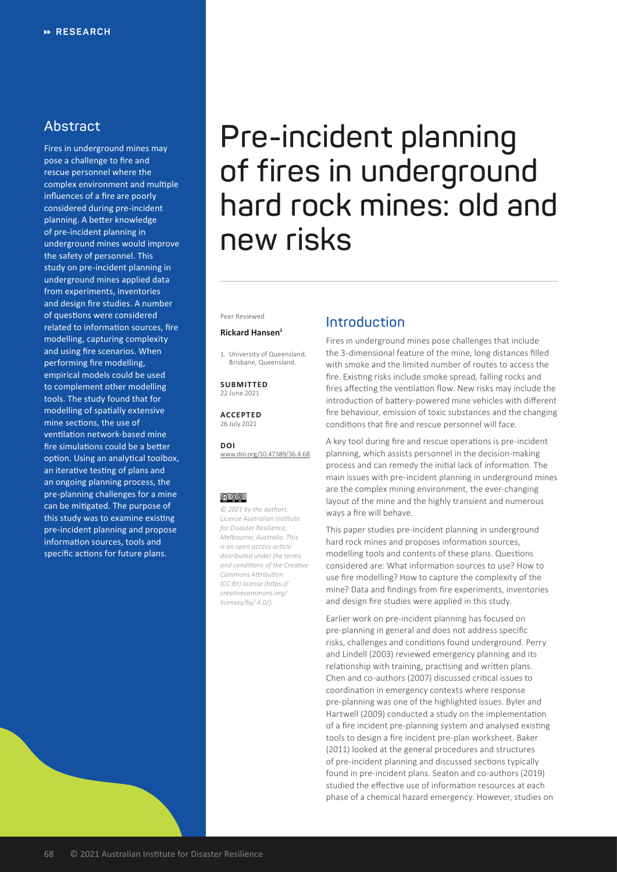# **Abstract**

Fires in underground mines may pose a challenge to fire and rescue personnel where the complex environment and multiple influences of a fire are poorly considered during pre-incident planning. A better knowledge of pre-incident planning in underground mines would improve the safety of personnel. This study on pre-incident planning in underground mines applied data from experiments, inventories and design fire studies. A number of questions were considered related to information sources, fire modelling, capturing complexity and using fire scenarios. When performing fire modelling, empirical models could be used to complement other modelling tools. The study found that for modelling of spatially extensive mine sections, the use of ventilation network-based mine fire simulations could be a better option. Using an analytical toolbox, an iterative testing of plans and an ongoing planning process, the pre-planning challenges for a mine can be mitigated. The purpose of this study was to examine existing pre-incident planning and propose information sources, tools and specific actions for future plans.

# **Pre-incident planning of fires in underground hard rock mines: old and new risks**

Peer Reviewed

## **Rickard Hansen<sup>1</sup>**

1. University of Queensland, Brisbane, Queensland.

**SUBMITTED** 22 June 2021

**ACCEPTED** 26 July 2021

**DOI** [www.doi.org/10.47389/36.4.68](https://www.doi.org/10.47389/36.4.68)

# <u>© 0⊛</u>

*© 2021 by the authors. License Australian Institute for Disaster Resilience, Melbourne, Australia. This is an open access article distributed under the terms and conditions of the Creative Commons Attribution (CC BY) license [\(https://](https://creativecommons.org/licenses/by/4.0/) [creativecommons.org/](https://creativecommons.org/licenses/by/4.0/) [licenses/by/ 4.0/\)](https://creativecommons.org/licenses/by/4.0/).*

# **Introduction**

Fires in underground mines pose challenges that include the 3-dimensional feature of the mine, long distances filled with smoke and the limited number of routes to access the fire. Existing risks include smoke spread, falling rocks and fires affecting the ventilation flow. New risks may include the introduction of battery-powered mine vehicles with different fire behaviour, emission of toxic substances and the changing conditions that fire and rescue personnel will face.

A key tool during fire and rescue operations is pre-incident planning, which assists personnel in the decision-making process and can remedy the initial lack of information. The main issues with pre-incident planning in underground mines are the complex mining environment, the ever-changing layout of the mine and the highly transient and numerous ways a fire will behave.

This paper studies pre-incident planning in underground hard rock mines and proposes information sources, modelling tools and contents of these plans. Questions considered are: What information sources to use? How to use fire modelling? How to capture the complexity of the mine? Data and findings from fire experiments, inventories and design fire studies were applied in this study.

Earlier work on pre-incident planning has focused on pre-planning in general and does not address specific risks, challenges and conditions found underground. Perry and Lindell (2003) reviewed emergency planning and its relationship with training, practising and written plans. Chen and co-authors (2007) discussed critical issues to coordination in emergency contexts where response pre-planning was one of the highlighted issues. Byler and Hartwell (2009) conducted a study on the implementation of a fire incident pre-planning system and analysed existing tools to design a fire incident pre-plan worksheet. Baker (2011) looked at the general procedures and structures of pre-incident planning and discussed sections typically found in pre-incident plans. Seaton and co-authors (2019) studied the effective use of information resources at each phase of a chemical hazard emergency. However, studies on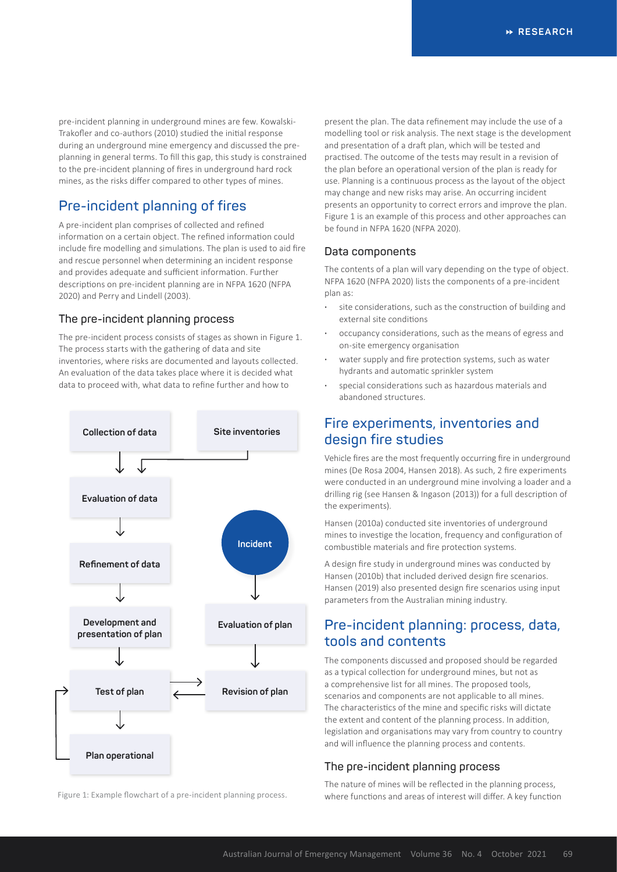pre-incident planning in underground mines are few. Kowalski-Trakofler and co-authors (2010) studied the initial response during an underground mine emergency and discussed the preplanning in general terms. To fill this gap, this study is constrained to the pre-incident planning of fires in underground hard rock mines, as the risks differ compared to other types of mines.

# **Pre-incident planning of fires**

A pre-incident plan comprises of collected and refined information on a certain object. The refined information could include fire modelling and simulations. The plan is used to aid fire and rescue personnel when determining an incident response and provides adequate and sufficient information. Further descriptions on pre-incident planning are in NFPA 1620 (NFPA 2020) and Perry and Lindell (2003).

## **The pre-incident planning process**

The pre-incident process consists of stages as shown in Figure 1. The process starts with the gathering of data and site inventories, where risks are documented and layouts collected. An evaluation of the data takes place where it is decided what data to proceed with, what data to refine further and how to



present the plan. The data refinement may include the use of a modelling tool or risk analysis. The next stage is the development and presentation of a draft plan, which will be tested and practised. The outcome of the tests may result in a revision of the plan before an operational version of the plan is ready for use. Planning is a continuous process as the layout of the object may change and new risks may arise. An occurring incident presents an opportunity to correct errors and improve the plan. Figure 1 is an example of this process and other approaches can be found in NFPA 1620 (NFPA 2020).

## **Data components**

The contents of a plan will vary depending on the type of object. NFPA 1620 (NFPA 2020) lists the components of a pre-incident plan as:

- **·** site considerations, such as the construction of building and external site conditions
- **·** occupancy considerations, such as the means of egress and on-site emergency organisation
- **·** water supply and fire protection systems, such as water hydrants and automatic sprinkler system
- **·** special considerations such as hazardous materials and abandoned structures.

# **Fire experiments, inventories and design fire studies**

Vehicle fires are the most frequently occurring fire in underground mines (De Rosa 2004, Hansen 2018). As such, 2 fire experiments were conducted in an underground mine involving a loader and a drilling rig (see Hansen & Ingason (2013)) for a full description of the experiments).

Hansen (2010a) conducted site inventories of underground mines to investige the location, frequency and configuration of combustible materials and fire protection systems.

A design fire study in underground mines was conducted by Hansen (2010b) that included derived design fire scenarios. Hansen (2019) also presented design fire scenarios using input parameters from the Australian mining industry.

# **Pre-incident planning: process, data, tools and contents**

The components discussed and proposed should be regarded as a typical collection for underground mines, but not as a comprehensive list for all mines. The proposed tools, scenarios and components are not applicable to all mines. The characteristics of the mine and specific risks will dictate the extent and content of the planning process. In addition, legislation and organisations may vary from country to country and will influence the planning process and contents.

# **The pre-incident planning process**

The nature of mines will be reflected in the planning process, Figure 1: Example flowchart of a pre-incident planning process. where functions and areas of interest will differ. A key function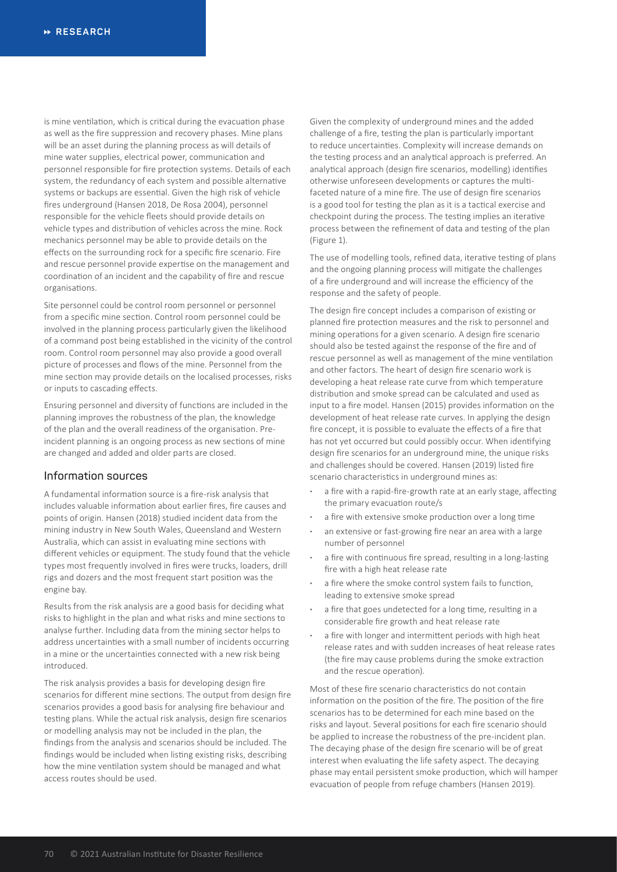is mine ventilation, which is critical during the evacuation phase as well as the fire suppression and recovery phases. Mine plans will be an asset during the planning process as will details of mine water supplies, electrical power, communication and personnel responsible for fire protection systems. Details of each system, the redundancy of each system and possible alternative systems or backups are essential. Given the high risk of vehicle fires underground (Hansen 2018, De Rosa 2004), personnel responsible for the vehicle fleets should provide details on vehicle types and distribution of vehicles across the mine. Rock mechanics personnel may be able to provide details on the effects on the surrounding rock for a specific fire scenario. Fire and rescue personnel provide expertise on the management and coordination of an incident and the capability of fire and rescue organisations.

Site personnel could be control room personnel or personnel from a specific mine section. Control room personnel could be involved in the planning process particularly given the likelihood of a command post being established in the vicinity of the control room. Control room personnel may also provide a good overall picture of processes and flows of the mine. Personnel from the mine section may provide details on the localised processes, risks or inputs to cascading effects.

Ensuring personnel and diversity of functions are included in the planning improves the robustness of the plan, the knowledge of the plan and the overall readiness of the organisation. Preincident planning is an ongoing process as new sections of mine are changed and added and older parts are closed.

# **Information sources**

A fundamental information source is a fire-risk analysis that includes valuable information about earlier fires, fire causes and points of origin. Hansen (2018) studied incident data from the mining industry in New South Wales, Queensland and Western Australia, which can assist in evaluating mine sections with different vehicles or equipment. The study found that the vehicle types most frequently involved in fires were trucks, loaders, drill rigs and dozers and the most frequent start position was the engine bay.

Results from the risk analysis are a good basis for deciding what risks to highlight in the plan and what risks and mine sections to analyse further. Including data from the mining sector helps to address uncertainties with a small number of incidents occurring in a mine or the uncertainties connected with a new risk being introduced.

The risk analysis provides a basis for developing design fire scenarios for different mine sections. The output from design fire scenarios provides a good basis for analysing fire behaviour and testing plans. While the actual risk analysis, design fire scenarios or modelling analysis may not be included in the plan, the findings from the analysis and scenarios should be included. The findings would be included when listing existing risks, describing how the mine ventilation system should be managed and what access routes should be used.

Given the complexity of underground mines and the added challenge of a fire, testing the plan is particularly important to reduce uncertainties. Complexity will increase demands on the testing process and an analytical approach is preferred. An analytical approach (design fire scenarios, modelling) identifies otherwise unforeseen developments or captures the multifaceted nature of a mine fire. The use of design fire scenarios is a good tool for testing the plan as it is a tactical exercise and checkpoint during the process. The testing implies an iterative process between the refinement of data and testing of the plan (Figure 1).

The use of modelling tools, refined data, iterative testing of plans and the ongoing planning process will mitigate the challenges of a fire underground and will increase the efficiency of the response and the safety of people.

The design fire concept includes a comparison of existing or planned fire protection measures and the risk to personnel and mining operations for a given scenario. A design fire scenario should also be tested against the response of the fire and of rescue personnel as well as management of the mine ventilation and other factors. The heart of design fire scenario work is developing a heat release rate curve from which temperature distribution and smoke spread can be calculated and used as input to a fire model. Hansen (2015) provides information on the development of heat release rate curves. In applying the design fire concept, it is possible to evaluate the effects of a fire that has not yet occurred but could possibly occur. When identifying design fire scenarios for an underground mine, the unique risks and challenges should be covered. Hansen (2019) listed fire scenario characteristics in underground mines as:

- **·** a fire with a rapid-fire-growth rate at an early stage, affecting the primary evacuation route/s
- **·** a fire with extensive smoke production over a long time
- **·** an extensive or fast-growing fire near an area with a large number of personnel
- **·** a fire with continuous fire spread, resulting in a long-lasting fire with a high heat release rate
- **·** a fire where the smoke control system fails to function, leading to extensive smoke spread
- **·** a fire that goes undetected for a long time, resulting in a considerable fire growth and heat release rate
- **·** a fire with longer and intermittent periods with high heat release rates and with sudden increases of heat release rates (the fire may cause problems during the smoke extraction and the rescue operation).

Most of these fire scenario characteristics do not contain information on the position of the fire. The position of the fire scenarios has to be determined for each mine based on the risks and layout. Several positions for each fire scenario should be applied to increase the robustness of the pre-incident plan. The decaying phase of the design fire scenario will be of great interest when evaluating the life safety aspect. The decaying phase may entail persistent smoke production, which will hamper evacuation of people from refuge chambers (Hansen 2019).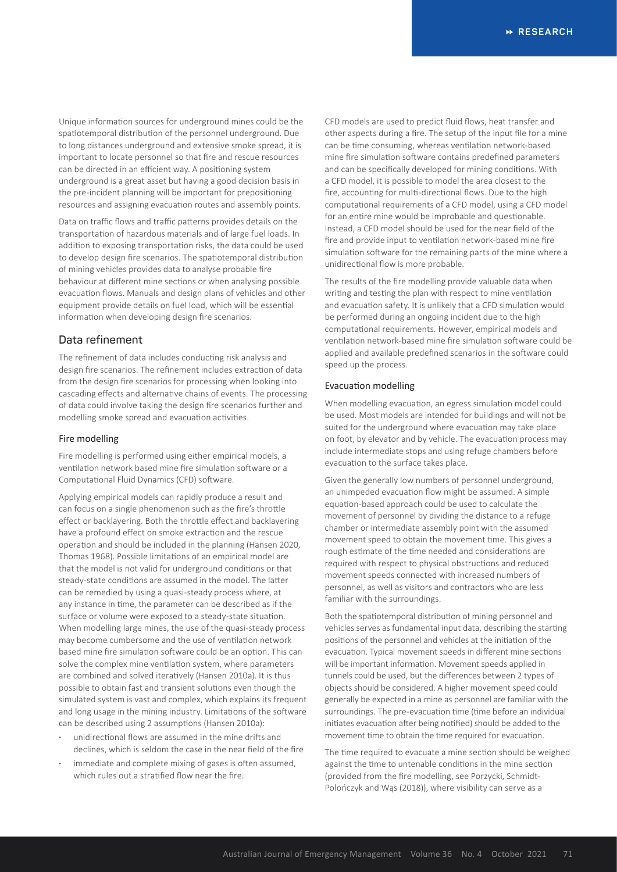Unique information sources for underground mines could be the spatiotemporal distribution of the personnel underground. Due to long distances underground and extensive smoke spread, it is important to locate personnel so that fire and rescue resources can be directed in an efficient way. A positioning system underground is a great asset but having a good decision basis in the pre-incident planning will be important for prepositioning resources and assigning evacuation routes and assembly points.

Data on traffic flows and traffic patterns provides details on the transportation of hazardous materials and of large fuel loads. In addition to exposing transportation risks, the data could be used to develop design fire scenarios. The spatiotemporal distribution of mining vehicles provides data to analyse probable fire behaviour at different mine sections or when analysing possible evacuation flows. Manuals and design plans of vehicles and other equipment provide details on fuel load, which will be essential information when developing design fire scenarios.

## **Data refinement**

The refinement of data includes conducting risk analysis and design fire scenarios. The refinement includes extraction of data from the design fire scenarios for processing when looking into cascading effects and alternative chains of events. The processing of data could involve taking the design fire scenarios further and modelling smoke spread and evacuation activities.

#### Fire modelling

Fire modelling is performed using either empirical models, a ventilation network based mine fire simulation software or a Computational Fluid Dynamics (CFD) software.

Applying empirical models can rapidly produce a result and can focus on a single phenomenon such as the fire's throttle effect or backlayering. Both the throttle effect and backlayering have a profound effect on smoke extraction and the rescue operation and should be included in the planning (Hansen 2020, Thomas 1968). Possible limitations of an empirical model are that the model is not valid for underground conditions or that steady-state conditions are assumed in the model. The latter can be remedied by using a quasi-steady process where, at any instance in time, the parameter can be described as if the surface or volume were exposed to a steady-state situation. When modelling large mines, the use of the quasi-steady process may become cumbersome and the use of ventilation network based mine fire simulation software could be an option. This can solve the complex mine ventilation system, where parameters are combined and solved iteratively (Hansen 2010a). It is thus possible to obtain fast and transient solutions even though the simulated system is vast and complex, which explains its frequent and long usage in the mining industry. Limitations of the software can be described using 2 assumptions (Hansen 2010a):

- **·** unidirectional flows are assumed in the mine drifts and declines, which is seldom the case in the near field of the fire
- **·** immediate and complete mixing of gases is often assumed, which rules out a stratified flow near the fire.

CFD models are used to predict fluid flows, heat transfer and other aspects during a fire. The setup of the input file for a mine can be time consuming, whereas ventilation network-based mine fire simulation software contains predefined parameters and can be specifically developed for mining conditions. With a CFD model, it is possible to model the area closest to the fire, accounting for multi-directional flows. Due to the high computational requirements of a CFD model, using a CFD model for an entire mine would be improbable and questionable. Instead, a CFD model should be used for the near field of the fire and provide input to ventilation network-based mine fire simulation software for the remaining parts of the mine where a unidirectional flow is more probable.

The results of the fire modelling provide valuable data when writing and testing the plan with respect to mine ventilation and evacuation safety. It is unlikely that a CFD simulation would be performed during an ongoing incident due to the high computational requirements. However, empirical models and ventilation network-based mine fire simulation software could be applied and available predefined scenarios in the software could speed up the process.

#### Evacuation modelling

When modelling evacuation, an egress simulation model could be used. Most models are intended for buildings and will not be suited for the underground where evacuation may take place on foot, by elevator and by vehicle. The evacuation process may include intermediate stops and using refuge chambers before evacuation to the surface takes place.

Given the generally low numbers of personnel underground, an unimpeded evacuation flow might be assumed. A simple equation-based approach could be used to calculate the movement of personnel by dividing the distance to a refuge chamber or intermediate assembly point with the assumed movement speed to obtain the movement time. This gives a rough estimate of the time needed and considerations are required with respect to physical obstructions and reduced movement speeds connected with increased numbers of personnel, as well as visitors and contractors who are less familiar with the surroundings.

Both the spatiotemporal distribution of mining personnel and vehicles serves as fundamental input data, describing the starting positions of the personnel and vehicles at the initiation of the evacuation. Typical movement speeds in different mine sections will be important information. Movement speeds applied in tunnels could be used, but the differences between 2 types of objects should be considered. A higher movement speed could generally be expected in a mine as personnel are familiar with the surroundings. The pre-evacuation time (time before an individual initiates evacuation after being notified) should be added to the movement time to obtain the time required for evacuation.

The time required to evacuate a mine section should be weighed against the time to untenable conditions in the mine section (provided from the fire modelling, see Porzycki, Schmidt-Polończyk and Wąs (2018)), where visibility can serve as a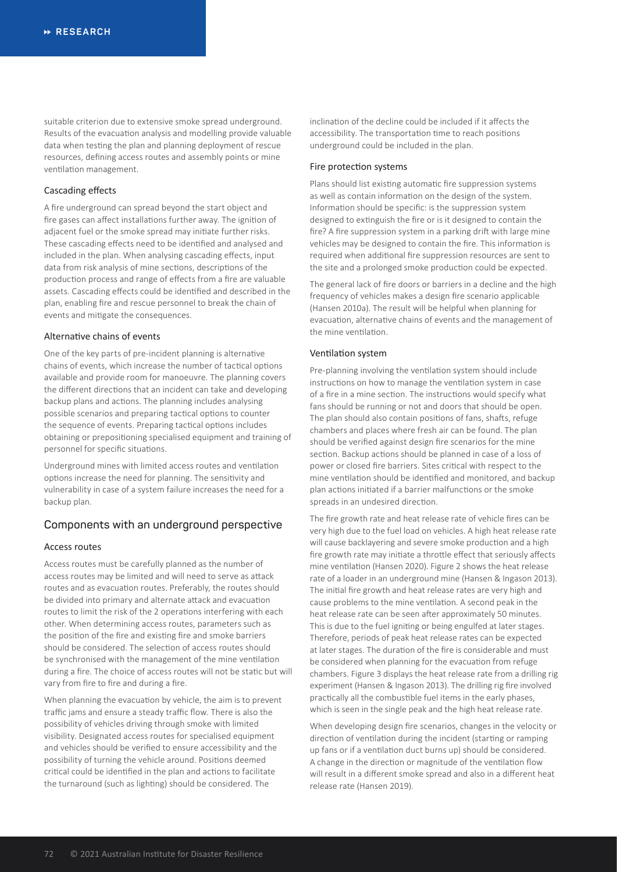suitable criterion due to extensive smoke spread underground. Results of the evacuation analysis and modelling provide valuable data when testing the plan and planning deployment of rescue resources, defining access routes and assembly points or mine ventilation management.

#### Cascading effects

A fire underground can spread beyond the start object and fire gases can affect installations further away. The ignition of adjacent fuel or the smoke spread may initiate further risks. These cascading effects need to be identified and analysed and included in the plan. When analysing cascading effects, input data from risk analysis of mine sections, descriptions of the production process and range of effects from a fire are valuable assets. Cascading effects could be identified and described in the plan, enabling fire and rescue personnel to break the chain of events and mitigate the consequences.

### Alternative chains of events

One of the key parts of pre-incident planning is alternative chains of events, which increase the number of tactical options available and provide room for manoeuvre. The planning covers the different directions that an incident can take and developing backup plans and actions. The planning includes analysing possible scenarios and preparing tactical options to counter the sequence of events. Preparing tactical options includes obtaining or prepositioning specialised equipment and training of personnel for specific situations.

Underground mines with limited access routes and ventilation options increase the need for planning. The sensitivity and vulnerability in case of a system failure increases the need for a backup plan.

## **Components with an underground perspective**

## Access routes

Access routes must be carefully planned as the number of access routes may be limited and will need to serve as attack routes and as evacuation routes. Preferably, the routes should be divided into primary and alternate attack and evacuation routes to limit the risk of the 2 operations interfering with each other. When determining access routes, parameters such as the position of the fire and existing fire and smoke barriers should be considered. The selection of access routes should be synchronised with the management of the mine ventilation during a fire. The choice of access routes will not be static but will vary from fire to fire and during a fire.

When planning the evacuation by vehicle, the aim is to prevent traffic jams and ensure a steady traffic flow. There is also the possibility of vehicles driving through smoke with limited visibility. Designated access routes for specialised equipment and vehicles should be verified to ensure accessibility and the possibility of turning the vehicle around. Positions deemed critical could be identified in the plan and actions to facilitate the turnaround (such as lighting) should be considered. The

inclination of the decline could be included if it affects the accessibility. The transportation time to reach positions underground could be included in the plan.

#### Fire protection systems

Plans should list existing automatic fire suppression systems as well as contain information on the design of the system. Information should be specific: is the suppression system designed to extinguish the fire or is it designed to contain the fire? A fire suppression system in a parking drift with large mine vehicles may be designed to contain the fire. This information is required when additional fire suppression resources are sent to the site and a prolonged smoke production could be expected.

The general lack of fire doors or barriers in a decline and the high frequency of vehicles makes a design fire scenario applicable (Hansen 2010a). The result will be helpful when planning for evacuation, alternative chains of events and the management of the mine ventilation.

#### Ventilation system

Pre-planning involving the ventilation system should include instructions on how to manage the ventilation system in case of a fire in a mine section. The instructions would specify what fans should be running or not and doors that should be open. The plan should also contain positions of fans, shafts, refuge chambers and places where fresh air can be found. The plan should be verified against design fire scenarios for the mine section. Backup actions should be planned in case of a loss of power or closed fire barriers. Sites critical with respect to the mine ventilation should be identified and monitored, and backup plan actions initiated if a barrier malfunctions or the smoke spreads in an undesired direction.

The fire growth rate and heat release rate of vehicle fires can be very high due to the fuel load on vehicles. A high heat release rate will cause backlayering and severe smoke production and a high fire growth rate may initiate a throttle effect that seriously affects mine ventilation (Hansen 2020). Figure 2 shows the heat release rate of a loader in an underground mine (Hansen & Ingason 2013). The initial fire growth and heat release rates are very high and cause problems to the mine ventilation. A second peak in the heat release rate can be seen after approximately 50 minutes. This is due to the fuel igniting or being engulfed at later stages. Therefore, periods of peak heat release rates can be expected at later stages. The duration of the fire is considerable and must be considered when planning for the evacuation from refuge chambers. Figure 3 displays the heat release rate from a drilling rig experiment (Hansen & Ingason 2013). The drilling rig fire involved practically all the combustible fuel items in the early phases, which is seen in the single peak and the high heat release rate.

When developing design fire scenarios, changes in the velocity or direction of ventilation during the incident (starting or ramping up fans or if a ventilation duct burns up) should be considered. A change in the direction or magnitude of the ventilation flow will result in a different smoke spread and also in a different heat release rate (Hansen 2019).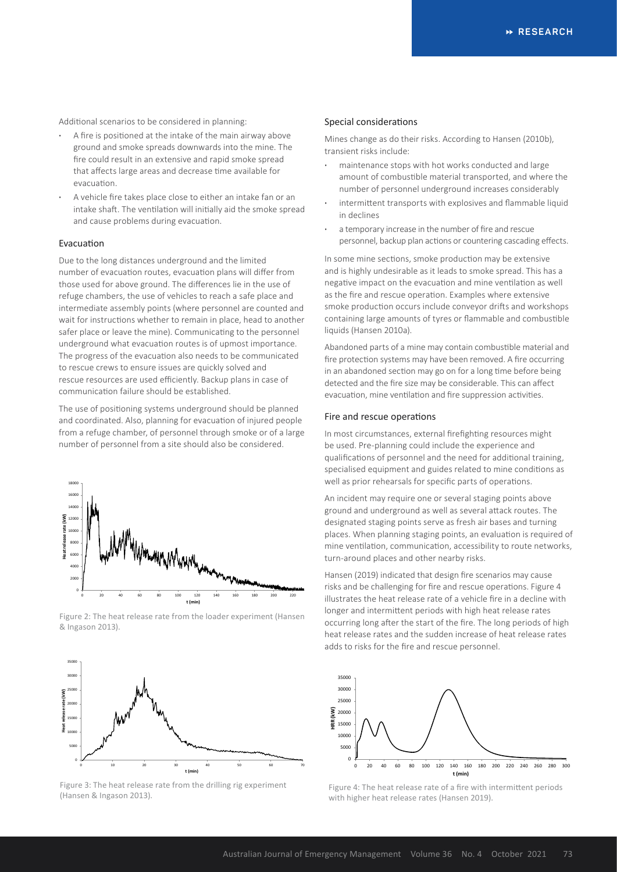Additional scenarios to be considered in planning:

- **·** A fire is positioned at the intake of the main airway above ground and smoke spreads downwards into the mine. The fire could result in an extensive and rapid smoke spread that affects large areas and decrease time available for evacuation.
- **·** A vehicle fire takes place close to either an intake fan or an intake shaft. The ventilation will initially aid the smoke spread and cause problems during evacuation.

## Evacuation

Due to the long distances underground and the limited number of evacuation routes, evacuation plans will differ from those used for above ground. The differences lie in the use of refuge chambers, the use of vehicles to reach a safe place and intermediate assembly points (where personnel are counted and wait for instructions whether to remain in place, head to another safer place or leave the mine). Communicating to the personnel underground what evacuation routes is of upmost importance. The progress of the evacuation also needs to be communicated to rescue crews to ensure issues are quickly solved and rescue resources are used efficiently. Backup plans in case of communication failure should be established.

The use of positioning systems underground should be planned and coordinated. Also, planning for evacuation of injured people from a refuge chamber, of personnel through smoke or of a large number of personnel from a site should also be considered.



Figure 2: The heat release rate from the loader experiment (Hansen & Ingason 2013).



Figure 3: The heat release rate from the drilling rig experiment (Hansen & Ingason 2013).

#### Special considerations

Mines change as do their risks. According to Hansen (2010b), transient risks include:

- **·** maintenance stops with hot works conducted and large amount of combustible material transported, and where the number of personnel underground increases considerably
- **·** intermittent transports with explosives and flammable liquid in declines
- **·** a temporary increase in the number of fire and rescue personnel, backup plan actions or countering cascading effects.

In some mine sections, smoke production may be extensive and is highly undesirable as it leads to smoke spread. This has a negative impact on the evacuation and mine ventilation as well as the fire and rescue operation. Examples where extensive smoke production occurs include conveyor drifts and workshops containing large amounts of tyres or flammable and combustible liquids (Hansen 2010a).

Abandoned parts of a mine may contain combustible material and fire protection systems may have been removed. A fire occurring in an abandoned section may go on for a long time before being detected and the fire size may be considerable. This can affect evacuation, mine ventilation and fire suppression activities.

#### Fire and rescue operations

In most circumstances, external firefighting resources might be used. Pre-planning could include the experience and qualifications of personnel and the need for additional training, specialised equipment and guides related to mine conditions as well as prior rehearsals for specific parts of operations.

An incident may require one or several staging points above ground and underground as well as several attack routes. The designated staging points serve as fresh air bases and turning places. When planning staging points, an evaluation is required of mine ventilation, communication, accessibility to route networks, turn-around places and other nearby risks.

Hansen (2019) indicated that design fire scenarios may cause risks and be challenging for fire and rescue operations. Figure 4 illustrates the heat release rate of a vehicle fire in a decline with longer and intermittent periods with high heat release rates occurring long after the start of the fire. The long periods of high heat release rates and the sudden increase of heat release rates adds to risks for the fire and rescue personnel.



Figure 4: The heat release rate of a fire with intermittent periods with higher heat release rates (Hansen 2019).